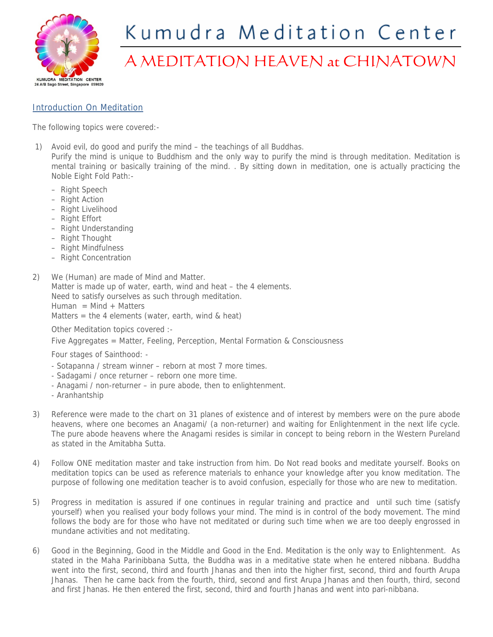

## Kumudra Meditation Center

## A MEDITATION HEAVEN at CHINATOWN

## Introduction On Meditation

The following topics were covered:-

- 1) Avoid evil, do good and purify the mind the teachings of all Buddhas.
	- Purify the mind is unique to Buddhism and the only way to purify the mind is through meditation. Meditation is mental training or basically training of the mind. . By sitting down in meditation, one is actually practicing the Noble Eight Fold Path:-
		- Right Speech
		- Right Action
		- Right Livelihood
		- Right Effort
		- Right Understanding
		- Right Thought
		- Right Mindfulness
		- Right Concentration
- 2) We (Human) are made of Mind and Matter.

Matter is made up of water, earth, wind and heat – the 4 elements.

Need to satisfy ourselves as such through meditation.

Human = Mind + Matters

Matters = the 4 elements (water, earth, wind & heat)

Other Meditation topics covered :-

Five Aggregates = Matter, Feeling, Perception, Mental Formation & Consciousness

Four stages of Sainthood: -

- Sotapanna / stream winner reborn at most 7 more times.
- Sadagami / once returner reborn one more time.
- Anagami / non-returner in pure abode, then to enlightenment.
- Aranhantship
- 3) Reference were made to the chart on 31 planes of existence and of interest by members were on the pure abode heavens, where one becomes an Anagami/ (a non-returner) and waiting for Enlightenment in the next life cycle. The pure abode heavens where the Anagami resides is similar in concept to being reborn in the Western Pureland as stated in the Amitabha Sutta.
- 4) Follow ONE meditation master and take instruction from him. Do Not read books and meditate yourself. Books on meditation topics can be used as reference materials to enhance your knowledge after you know meditation. The purpose of following one meditation teacher is to avoid confusion, especially for those who are new to meditation.
- 5) Progress in meditation is assured if one continues in regular training and practice and until such time (satisfy yourself) when you realised your body follows your mind. The mind is in control of the body movement. The mind follows the body are for those who have not meditated or during such time when we are too deeply engrossed in mundane activities and not meditating.
- 6) Good in the Beginning, Good in the Middle and Good in the End. Meditation is the only way to Enlightenment. As stated in the Maha Parinibbana Sutta, the Buddha was in a meditative state when he entered nibbana. Buddha went into the first, second, third and fourth Jhanas and then into the higher first, second, third and fourth Arupa Jhanas. Then he came back from the fourth, third, second and first Arupa Jhanas and then fourth, third, second and first Jhanas. He then entered the first, second, third and fourth Jhanas and went into pari-nibbana.